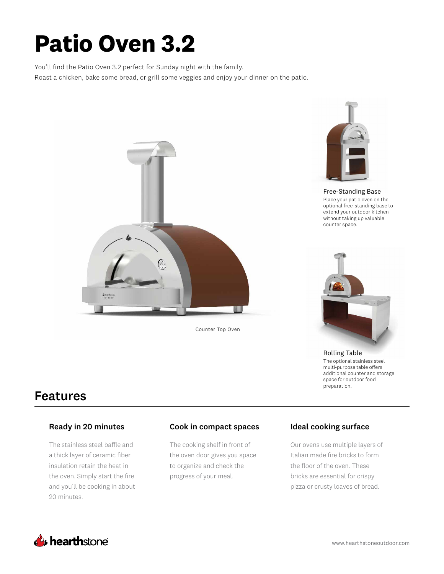# **Patio Oven 3.2**

You'll find the Patio Oven 3.2 perfect for Sunday night with the family. Roast a chicken, bake some bread, or grill some veggies and enjoy your dinner on the patio.



Counter Top Oven



Free-Standing Base Place your patio oven on the optional free-standing base to extend your outdoor kitchen without taking up valuable counter space.



Rolling Table The optional stainless steel multi-purpose table offers additional counter and storage space for outdoor food preparation.

# Features

The stainless steel baffle and a thick layer of ceramic fiber insulation retain the heat in the oven. Simply start the fire and you'll be cooking in about 20 minutes.

### Ready in 20 minutes **Cook in compact spaces** Ideal cooking surface

The cooking shelf in front of the oven door gives you space to organize and check the progress of your meal.

Our ovens use multiple layers of Italian made fire bricks to form the floor of the oven. These bricks are essential for crispy pizza or crusty loaves of bread.

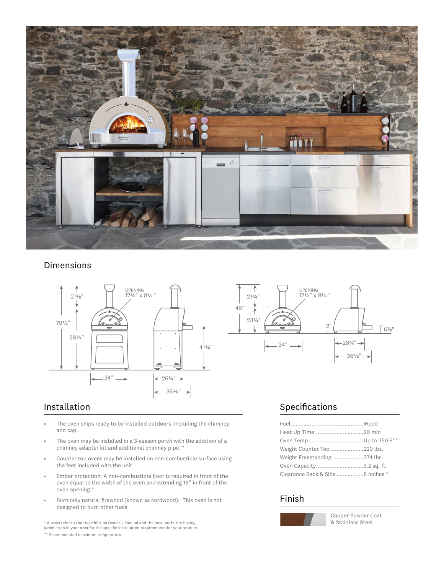

### Dimensions



- The oven ships ready to be installed outdoors, including the chimney and cap.
- The oven may be installed in a 3-season porch with the addition of a chimney adapter kit and additional chimney pipe. \*
- Counter top ovens may be installed on non-combustible surface using the feet included with the unit.
- Ember protection: A non-combustible floor is required in front of the oven equal to the width of the oven and extending 18" in front of the oven opening.\*
- Burn only natural firewood (known as cordwood). This oven is not designed to burn other fuels.

\* Always refer to the HearthStone Owner's Manual and the local authority having jurisdiction in your area for the specific installation requirements for your product.

\*\* Recommended maximum temperature.

## Installation **Specifications**

| Weight Counter Top 220 lbs.      |  |
|----------------------------------|--|
| Weight Freestanding 374 lbs.     |  |
| Oven Capacity3.2 sq. ft.         |  |
| Clearance Back & Side 8 inches * |  |

### Finish



Copper Powder Coat & Stainless Steel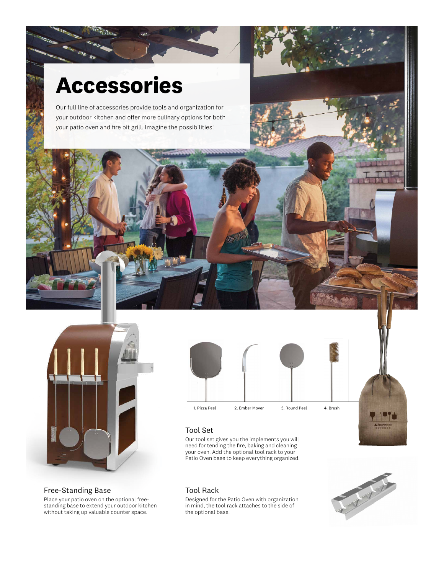# **Accessories**

**Real Property** 

Our full line of accessories provide tools and organization for your outdoor kitchen and offer more culinary options for both your patio oven and fire pit grill. Imagine the possibilities!



#### Free-Standing Base

Place your patio oven on the optional freestanding base to extend your outdoor kitchen without taking up valuable counter space.



## Tool Set

Our tool set gives you the implements you will need for tending the fire, baking and cleaning your oven. Add the optional tool rack to your Patio Oven base to keep everything organized.

#### Tool Rack

Designed for the Patio Oven with organization in mind, the tool rack attaches to the side of the optional base.